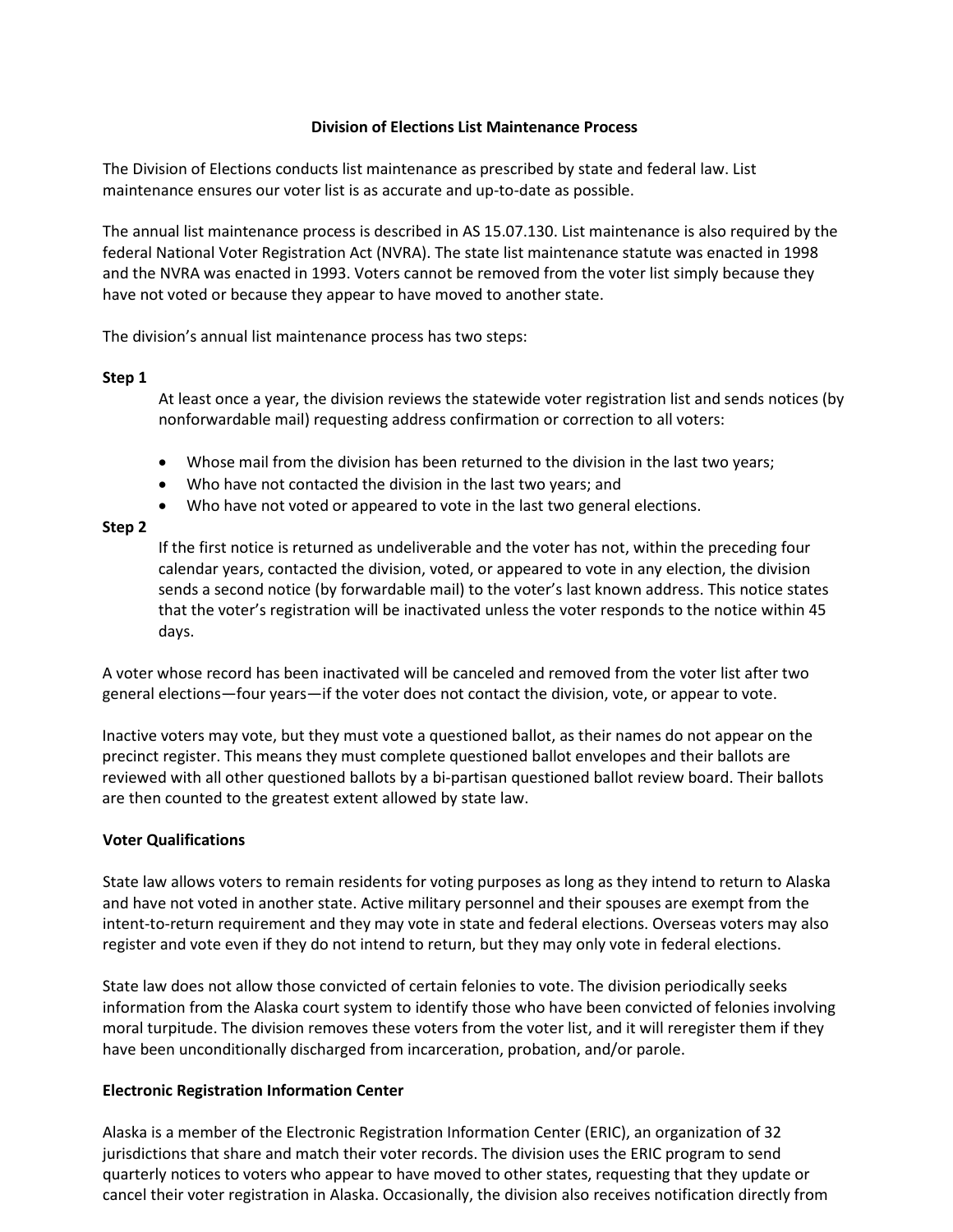# **Division of Elections List Maintenance Process**

The Division of Elections conducts list maintenance as prescribed by state and federal law. List maintenance ensures our voter list is as accurate and up-to-date as possible.

The annual list maintenance process is described in AS 15.07.130. List maintenance is also required by the federal National Voter Registration Act (NVRA). The state list maintenance statute was enacted in 1998 and the NVRA was enacted in 1993. Voters cannot be removed from the voter list simply because they have not voted or because they appear to have moved to another state.

The division's annual list maintenance process has two steps:

## **Step 1**

At least once a year, the division reviews the statewide voter registration list and sends notices (by nonforwardable mail) requesting address confirmation or correction to all voters:

- Whose mail from the division has been returned to the division in the last two years;
- Who have not contacted the division in the last two years; and
- Who have not voted or appeared to vote in the last two general elections.

## **Step 2**

If the first notice is returned as undeliverable and the voter has not, within the preceding four calendar years, contacted the division, voted, or appeared to vote in any election, the division sends a second notice (by forwardable mail) to the voter's last known address. This notice states that the voter's registration will be inactivated unless the voter responds to the notice within 45 days.

A voter whose record has been inactivated will be canceled and removed from the voter list after two general elections—four years—if the voter does not contact the division, vote, or appear to vote.

Inactive voters may vote, but they must vote a questioned ballot, as their names do not appear on the precinct register. This means they must complete questioned ballot envelopes and their ballots are reviewed with all other questioned ballots by a bi-partisan questioned ballot review board. Their ballots are then counted to the greatest extent allowed by state law.

### **Voter Qualifications**

State law allows voters to remain residents for voting purposes as long as they intend to return to Alaska and have not voted in another state. Active military personnel and their spouses are exempt from the intent-to-return requirement and they may vote in state and federal elections. Overseas voters may also register and vote even if they do not intend to return, but they may only vote in federal elections.

State law does not allow those convicted of certain felonies to vote. The division periodically seeks information from the Alaska court system to identify those who have been convicted of felonies involving moral turpitude. The division removes these voters from the voter list, and it will reregister them if they have been unconditionally discharged from incarceration, probation, and/or parole.

### **Electronic Registration Information Center**

Alaska is a member of the Electronic Registration Information Center (ERIC), an organization of 32 jurisdictions that share and match their voter records. The division uses the ERIC program to send quarterly notices to voters who appear to have moved to other states, requesting that they update or cancel their voter registration in Alaska. Occasionally, the division also receives notification directly from